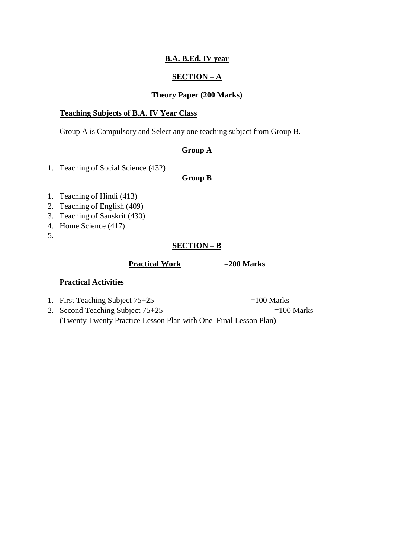## **B.A. B.Ed. IV year**

## **SECTION – A**

### **Theory Paper (200 Marks)**

#### **Teaching Subjects of B.A. IV Year Class**

Group A is Compulsory and Select any one teaching subject from Group B.

# **Group A**

1. Teaching of Social Science (432)

## **Group B**

- 1. Teaching of Hindi (413)
- 2. Teaching of English (409)
- 3. Teaching of Sanskrit (430)
- 4. Home Science (417)
- 5.

## **SECTION – B**

#### **Practical Work =200 Marks**

### **Practical Activities**

- 1. First Teaching Subject  $75+25$  =100 Marks
- 2. Second Teaching Subject  $75+25$  =100 Marks

(Twenty Twenty Practice Lesson Plan with One Final Lesson Plan)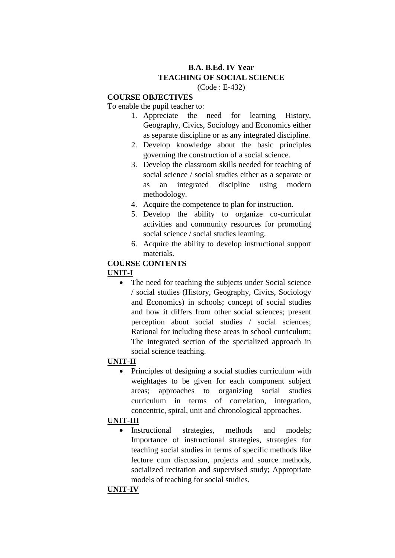# **B.A. B.Ed. IV Year TEACHING OF SOCIAL SCIENCE**

(Code : E-432)

#### **COURSE OBJECTIVES**

To enable the pupil teacher to:

- 1. Appreciate the need for learning History, Geography, Civics, Sociology and Economics either as separate discipline or as any integrated discipline.
- 2. Develop knowledge about the basic principles governing the construction of a social science.
- 3. Develop the classroom skills needed for teaching of social science / social studies either as a separate or as an integrated discipline using modern methodology.
- 4. Acquire the competence to plan for instruction.
- 5. Develop the ability to organize co-curricular activities and community resources for promoting social science / social studies learning.
- 6. Acquire the ability to develop instructional support materials.

### **COURSE CONTENTS UNIT-I**

 The need for teaching the subjects under Social science / social studies (History, Geography, Civics, Sociology and Economics) in schools; concept of social studies and how it differs from other social sciences; present perception about social studies / social sciences; Rational for including these areas in school curriculum; The integrated section of the specialized approach in social science teaching.

## **UNIT-II**

• Principles of designing a social studies curriculum with weightages to be given for each component subject areas; approaches to organizing social studies curriculum in terms of correlation, integration, concentric, spiral, unit and chronological approaches.

## **UNIT-III**

 Instructional strategies, methods and models; Importance of instructional strategies, strategies for teaching social studies in terms of specific methods like lecture cum discussion, projects and source methods, socialized recitation and supervised study; Appropriate models of teaching for social studies.

#### **UNIT-IV**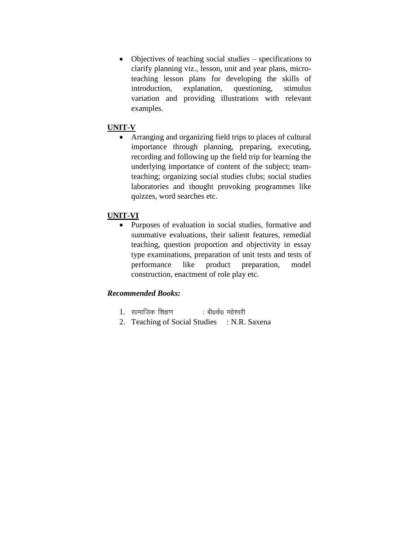Objectives of teaching social studies – specifications to clarify planning viz., lesson, unit and year plans, microteaching lesson plans for developing the skills of introduction, explanation, questioning, stimulus variation and providing illustrations with relevant examples.

## **UNIT-V**

 Arranging and organizing field trips to places of cultural importance through planning, preparing, executing, recording and following up the field trip for learning the underlying importance of content of the subject; teamteaching; organizing social studies clubs; social studies laboratories and thought provoking programmes like quizzes, word searches etc.

#### **UNIT-VI**

 Purposes of evaluation in social studies, formative and summative evaluations, their salient features, remedial teaching, question proportion and objectivity in essay type examinations, preparation of unit tests and tests of performance like product preparation, model construction, enactment of role play etc.

## *Recommended Books:*

- 1. सामाजिक शिक्षण ... बी0के0 महेश्वरी
- 2. Teaching of Social Studies : N.R. Saxena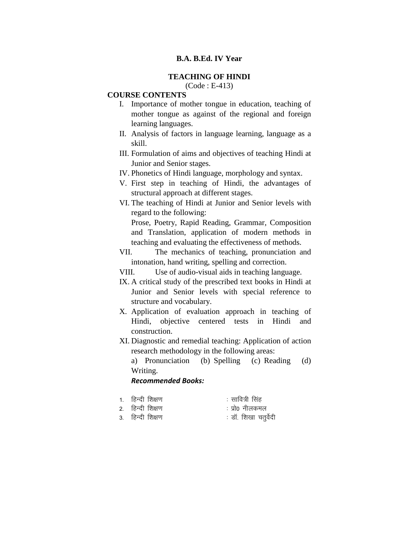#### **B.A. B.Ed. IV Year**

#### **TEACHING OF HINDI**

## (Code : E-413)

#### **COURSE CONTENTS**

- I. Importance of mother tongue in education, teaching of mother tongue as against of the regional and foreign learning languages.
- II. Analysis of factors in language learning, language as a skill.
- III. Formulation of aims and objectives of teaching Hindi at Junior and Senior stages.
- IV. Phonetics of Hindi language, morphology and syntax.
- V. First step in teaching of Hindi, the advantages of structural approach at different stages.
- VI. The teaching of Hindi at Junior and Senior levels with regard to the following:

Prose, Poetry, Rapid Reading, Grammar, Composition and Translation, application of modern methods in teaching and evaluating the effectiveness of methods.

VII. The mechanics of teaching, pronunciation and intonation, hand writing, spelling and correction.

VIII. Use of audio-visual aids in teaching language.

- IX. A critical study of the prescribed text books in Hindi at Junior and Senior levels with special reference to structure and vocabulary.
- X. Application of evaluation approach in teaching of Hindi, objective centered tests in Hindi and construction.
- XI. Diagnostic and remedial teaching: Application of action research methodology in the following areas:

a) Pronunciation (b) Spelling (c) Reading (d) Writing.

#### *Recommended Books:*

- 1. हिन्दी शिक्षण कार्यक्रम करने के सावित्री सिंह
	-
- 2. हिन्दी शिक्षण बाद कर कर कर को प्रो0 नीलकमल
- 3. हिन्दी शिक्षण बाद्ध करते हैं। ही शिखा चतुर्वेदी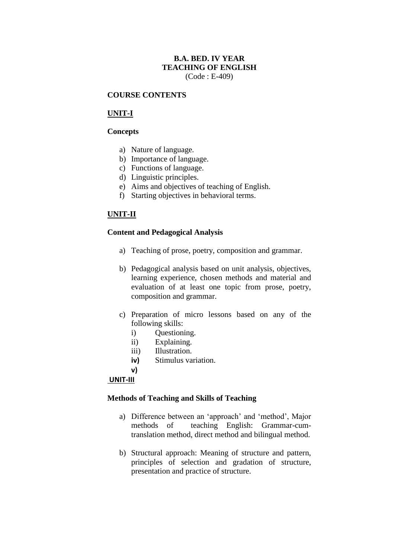## **B.A. BED. IV YEAR TEACHING OF ENGLISH** (Code : E-409)

#### **COURSE CONTENTS**

### **UNIT-I**

#### **Concepts**

- a) Nature of language.
- b) Importance of language.
- c) Functions of language.
- d) Linguistic principles.
- e) Aims and objectives of teaching of English.
- f) Starting objectives in behavioral terms.

## **UNIT-II**

#### **Content and Pedagogical Analysis**

- a) Teaching of prose, poetry, composition and grammar.
- b) Pedagogical analysis based on unit analysis, objectives, learning experience, chosen methods and material and evaluation of at least one topic from prose, poetry, composition and grammar.
- c) Preparation of micro lessons based on any of the following skills:
	- i) Questioning.
	- ii) Explaining.
	- iii) Illustration.
	- **iv)** Stimulus variation.
	- **v)**

#### **UNIT-III**

#### **Methods of Teaching and Skills of Teaching**

- a) Difference between an 'approach' and 'method', Major methods of teaching English: Grammar-cumtranslation method, direct method and bilingual method.
- b) Structural approach: Meaning of structure and pattern, principles of selection and gradation of structure, presentation and practice of structure.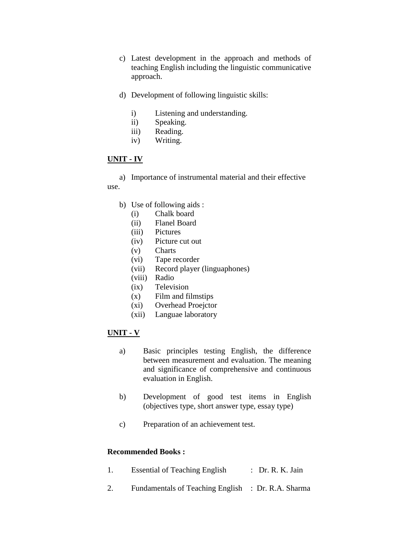- c) Latest development in the approach and methods of teaching English including the linguistic communicative approach.
- d) Development of following linguistic skills:
	- i) Listening and understanding.
	- ii) Speaking.
	- iii) Reading.
	- iv) Writing.

#### **UNIT - IV**

a) Importance of instrumental material and their effective use.

- b) Use of following aids :
	- (i) Chalk board
	- (ii) Flanel Board
	- (iii) Pictures
	- (iv) Picture cut out
	- (v) Charts
	- (vi) Tape recorder
	- (vii) Record player (linguaphones)
	- (viii) Radio
	- (ix) Television
	- (x) Film and filmstips
	- (xi) Overhead Proejctor
	- (xii) Languae laboratory

#### **UNIT - V**

- a) Basic principles testing English, the difference between measurement and evaluation. The meaning and significance of comprehensive and continuous evaluation in English.
- b) Development of good test items in English (objectives type, short answer type, essay type)
- c) Preparation of an achievement test.

#### **Recommended Books :**

- 1. Essential of Teaching English : Dr. R. K. Jain
- 2. Fundamentals of Teaching English : Dr. R.A. Sharma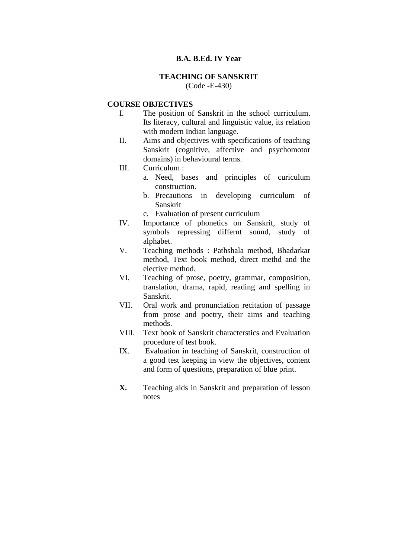#### **B.A. B.Ed. IV Year**

## **TEACHING OF SANSKRIT**

(Code -E-430)

#### **COURSE OBJECTIVES**

- I. The position of Sanskrit in the school curriculum. Its literacy, cultural and linguistic value, its relation with modern Indian language.
- II. Aims and objectives with specifications of teaching Sanskrit (cognitive, affective and psychomotor domains) in behavioural terms.
- III. Curriculum :
	- a. Need, bases and principles of curiculum construction.
	- b. Precautions in developing curriculum of Sanskrit
	- c. Evaluation of present curriculum
- IV. Importance of phonetics on Sanskrit, study of symbols repressing differnt sound, study of alphabet.
- V. Teaching methods : Pathshala method, Bhadarkar method, Text book method, direct methd and the elective method.
- VI. Teaching of prose, poetry, grammar, composition, translation, drama, rapid, reading and spelling in Sanskrit.
- VII. Oral work and pronunciation recitation of passage from prose and poetry, their aims and teaching methods.
- VIII. Text book of Sanskrit characterstics and Evaluation procedure of test book.
- IX. Evaluation in teaching of Sanskrit, construction of a good test keeping in view the objectives, content and form of questions, preparation of blue print.
- **X.** Teaching aids in Sanskrit and preparation of lesson notes